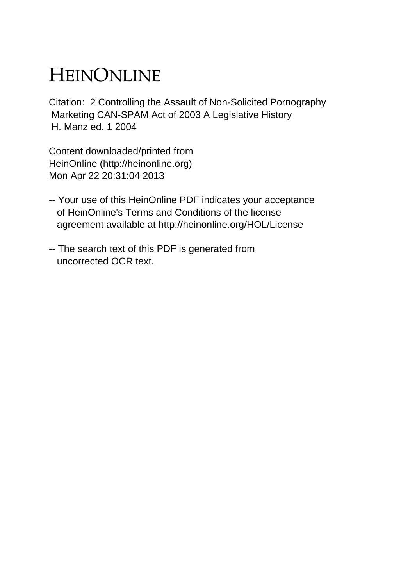# HEINONLINE

Citation: 2 Controlling the Assault of Non-Solicited Pornography Marketing CAN-SPAM Act of 2003 A Legislative History H. Manz ed. 1 2004

Content downloaded/printed from HeinOnline (http://heinonline.org) Mon Apr 22 20:31:04 2013

- -- Your use of this HeinOnline PDF indicates your acceptance of HeinOnline's Terms and Conditions of the license agreement available at http://heinonline.org/HOL/License
- -- The search text of this PDF is generated from uncorrected OCR text.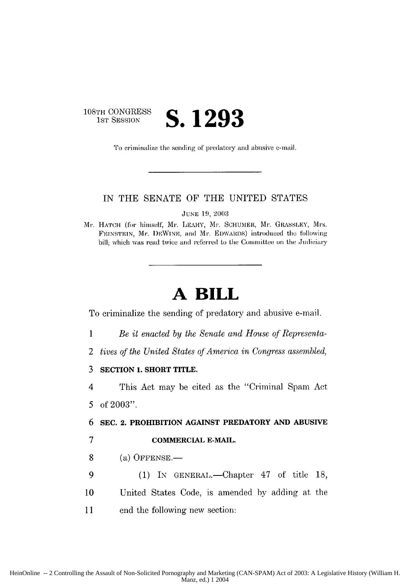### 108TH CONGRESS<br>1st Session **1ST SESSION S \* 1293**

To eriminalize the sending of predatory and abusive e-mail.

### IN THE SENATE OF THE UNITED STATES

JUNE **19, 2003**

Mr. HATCH (for himself, Mr. LEAHY, Mr. SCHUMER, Mr. GRASSLEY, Mrs. FEINSTEIN, Mr. DEWINE, and Mr. EDWARDS) introduced the following bill; which was read twice and referred to the Committee on the Judiciary

## **A BILL**

To criminalize the sending of predatory and abusive e-mail.

- *1 Be it enacted by the Senate and House of Representa-*
- 2 *tives of'the United States of America in Congress assembled,*

**3 SECTION 1. SHORT TITLE.**

4 This Act may be cited as the "Criminal Spam Act *5* of 2003".

**6 SEC. 2. PROHIBITION AGAINST PREDATORY AND ABUSIVE**

**7 COMMERCIAL E-MAIL.**

 $8$  (a) OFFENSE.—

9 (1) IN GENERAL.—Chapter 47 of title 18,

- **10** United States Code, is amended by adding at the
- 11 end the following new section: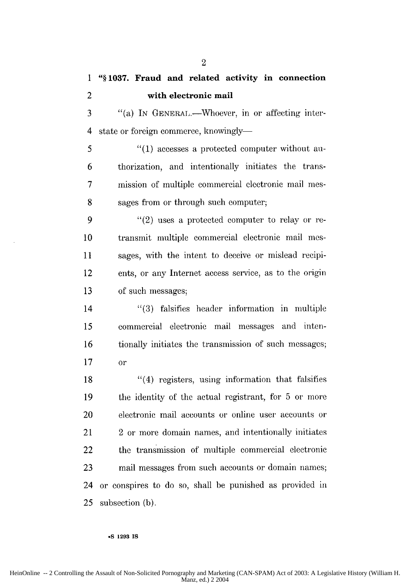**1 "§ 1037. Fraud and related activity in connection 2 with electronic mail**

3 "(a) IN GENERAL.—Whoever, in or affecting inter-4 state or foreign commerce, knowingly—

5 "(1) accesses a protected computer without au-6 thorization, and intentionally initiates the trans-7 mission of multiple commercial electronic mail mes-**8** sages from or through such computer;

9 "(2) uses a protected computer to relay or re-**10** transmit multiple commercial electronic mail mes-11 sages, with the intent to deceive or mislead recipi-12 ents, or any Internet access service, as to the origin 13 of such messages;

14 "(3) falsifies header information in multiple *15* commercial electronic mail messages and inten-**16** tionally initiates the transmission of such messages; 17 or

18 "(4) registers, using information that falsifies 19 the identity of the actual registrant, for 5 or more 20 electronic mail accounts or online user accounts or 21 2 or more domain names, and intentionally initiates 22 the transmission of multiple commercial electronic 23 mail messages from such accounts or domain names; 24 or conspires to do so, shall be punished as provided in 25 subsection (b).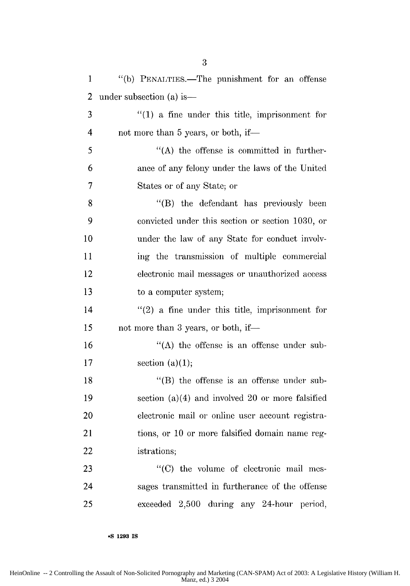| $\mathbf{1}$ | "(b) PENALTIES.—The punishment for an offense      |
|--------------|----------------------------------------------------|
| 2            | under subsection (a) is—                           |
| 3            | $f(1)$ a fine under this title, imprisonment for   |
| 4            | not more than 5 years, or both, if—                |
| 5            | "(A) the offense is committed in further-          |
| 6            | ance of any felony under the laws of the United    |
| 7            | States or of any State; or                         |
| 8            | "(B) the defendant has previously been             |
| 9            | convicted under this section or section 1030, or   |
| 10           | under the law of any State for conduct involv-     |
| 11           | ing the transmission of multiple commercial        |
| 12           | electronic mail messages or unauthorized access    |
| 13           | to a computer system;                              |
| 14           | $''(2)$ a fine under this title, imprisonment for  |
| 15           | not more than 3 years, or both, if—                |
| 16           | "(A) the offense is an offense under sub-          |
| 17           | section $(a)(1);$                                  |
| 18           | $\rm{``(B)}$ the offense is an offense under sub-  |
| 19           | section $(a)(4)$ and involved 20 or more falsified |
| 20           | electronic mail or online user account registra-   |
| 21           | tions, or 10 or more falsified domain name reg-    |
| 22           | istrations;                                        |
| 23           | "(C) the volume of electronic mail mes-            |
| 24           | sages transmitted in furtherance of the offense    |
| 25           | exceeded 2,500 during any 24-hour period,          |

**-S 1293 IS**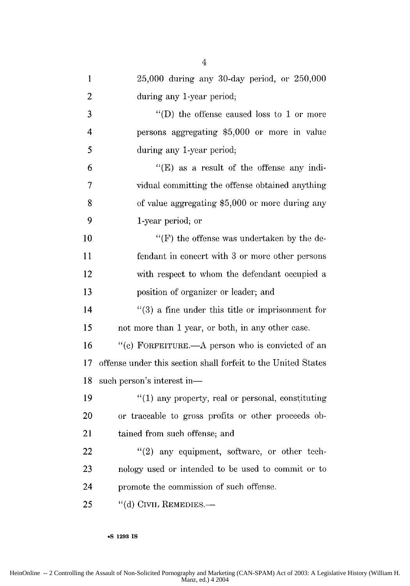|              | 4                                                             |
|--------------|---------------------------------------------------------------|
| $\mathbf{1}$ | $25,000$ during any 30-day period, or $250,000$               |
| 2            | during any 1-year period;                                     |
| 3            | $\lq\lq$ (D) the offense caused loss to 1 or more             |
| 4            | persons aggregating \$5,000 or more in value                  |
| 5            | during any 1-year period;                                     |
| 6            | $f(E)$ as a result of the offense any indi-                   |
| $\tau$       | vidual committing the offense obtained anything               |
| 8            | of value aggregating \$5,000 or more during any               |
| 9            | 1-year period; or                                             |
| 10           | $f'(F)$ the offense was undertaken by the de-                 |
| 11           | fendant in concert with 3 or more other persons               |
| 12           | with respect to whom the defendant occupied a                 |
| 13           | position of organizer or leader; and                          |
| 14           | $\lq(3)$ a fine under this title or imprisonment for          |
| 15           | not more than 1 year, or both, in any other case.             |
| 16           | "(c) FORFEITURE.—A person who is convicted of an              |
| 17           | offense under this section shall forfeit to the United States |
| 18           | such person's interest in—                                    |
| 19           | "(1) any property, real or personal, constituting             |
| 20           | or traceable to gross profits or other proceeds ob-           |
| 21           | tained from such offense; and                                 |
| 22           | $(2)$ any equipment, software, or other tech-                 |
| 23           | nology used or intended to be used to commit or to            |
| 24           | promote the commission of such offense.                       |
| 25           | "(d) CIVIL REMEDIES.-                                         |

**.S 1293 IS**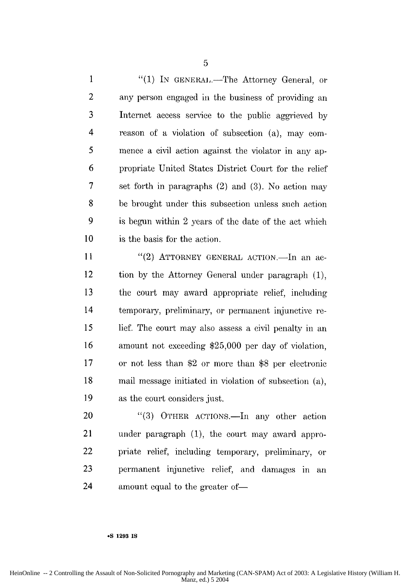1 "(1) IN GENERAL.—The Attorney General, or 2 any person engaged in the business of providing an 3 Internet access service to the public aggrieved by 4 reason of a violation of subsection (a), may corn-*5* mence a civil action against the violator in any ap-6 propriate United States District Court for the relief 7 set forth in paragraphs (2) and (3). No action may 8 be brought under this subsection unless such action 9 is begun within 2 years of the date of the act which 10 is the basis for the action.

11  $(2)$  ATTORNEY GENERAL ACTION. In an ac-12 tion by the Attorney General under paragraph (1), 13 the court may award appropriate relief, including 14 temporary, preliminary, or permanent injunctive re-*15* lief. The court may also assess a civil penalty in an 16 amount not exceeding \$25,000 per day of violation, 17 or not less than \$2 or more than **\$8** per electronic 18 mail message initiated in violation of subsection (a), 19 as the court considers just.

20 "(3) OTHER ACTIONS.—In any other action 21 under paragraph (1), the court may award appro-22 priate relief, including temporary, preliminary, or 23 permanent injunctive relief, and damages in an 24 amount equal to the greater of-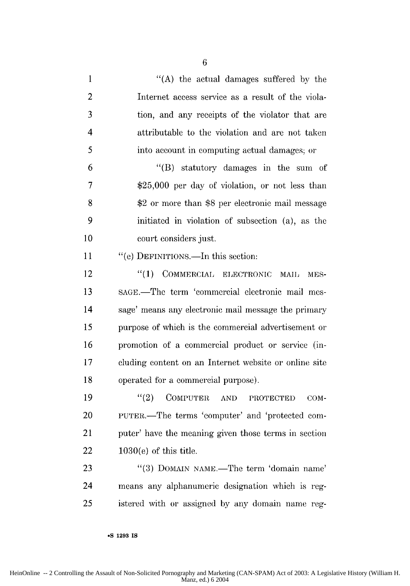1 "(A) the actual damages suffered by the 2 Internet access service as a result of the viola-3 tion, and any receipts of the violator that are 4 attributable to the violation and are not taken 5 into account in computing actual damages; or 6 "(B) statutory damages in the sum of 7 \$25,000 per day of violation, or not less than 8  $\frac{1}{2}$  or more than \$8 per electronic mail message 9 initiated in violation of subsection (a), as the 10 court considers just. 11 "(e) DEFINITIONS.—In this section: 12 "(1) COMMERCIAL ELECTRONIC **MAIL** MES-13 SAGE.—The term 'commercial electronic mail mes-14 sage' means any electronic mail message the primary 15 purpose of which is the commercial advertisement or 16 promotion of a commercial product or service (in-17 eluding content on an Internet website or online site 18 operated for a commercial purpose). 19  $(2)$  COMPUTER AND PROTECTED COM-20 PUTER.—The terms 'computer' and 'protected com-21 puter' have the meaning given those terms in section 22 1030(e) of this title. 23 "(3) DOMAIN NAME.—The term 'domain name' 24 means any alphanumeric designation which is reg-

25 istered with or assigned by any domain name reg-

**\*S 1293 IS**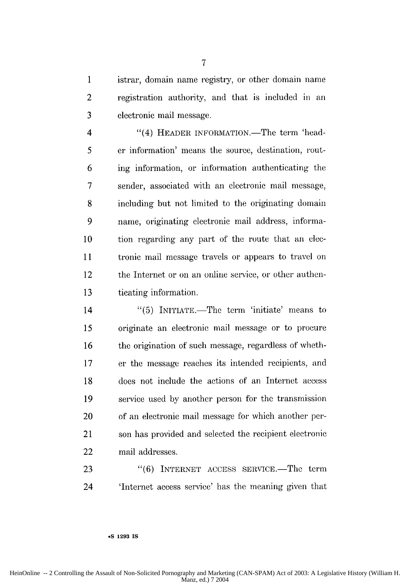1 istrar, domain name registry, or other domain name 2 registration authority, and that is included in an 3 electronic mail message.

4 "(4) HEADER INFORMATION.—The term 'head-5 er information' means the source, destination, rout-6 ing information, or information authenticating the 7 sender, associated with an electronic mail message, 8 including but not limited to the originating domain 9 name, originating electronic mail address, informa-**10** tion regarding any part of the route that an dee-11 tronic mail message travels or appears to travel on 12 the Internet or on an online service, or other authen-13 ticating information.

14 "(5) INITIATE.—The term 'initiate' means to 15 originate an electronic mail message or to procure 16 the origination of such message, regardless of wheth-17 er the message reaches its intended recipients, and 18 does not include the actions of an Internet access 19 service used by another person for the transmission 20 of an electronic mail message for which another per-21 son has provided and selected the recipient electronic 22 mail addresses.

23 "(6) INTERNET ACCESS SERVICE.—The term 24 'Internet access service' has the meaning given that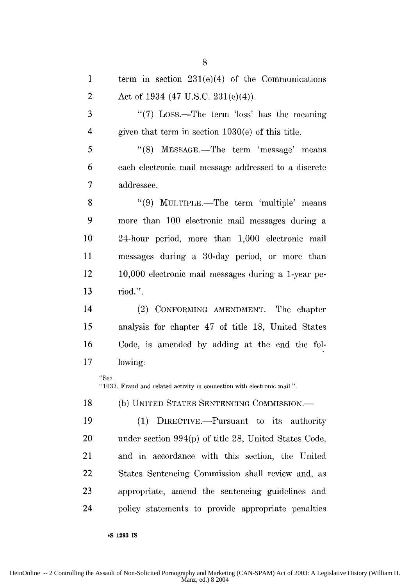1 term in section 231(e)(4) of the Communications 2 Act of 1934 (47 U.S.C. 231(e)(4)). 3 "(7) Loss.-The term 'loss' has the meaning 4 given that term in section 1030(e) of this title. 5 "(8) MESSAGE.—The term 'message' means 6 each electronic mail message addressed to a discrete 7 addressee. 8 "(9) MULTIPLE.—The term 'multiple' means 9 more than 100 electronic mail messages during a 10 24-hour period, more than 1,000 electronic mail 11 messages during a 30-day period, or more than 12 10,000 electronic mail messages during a 1-year pe-13 riod.". 14 (2) CONFORMING AMENDMENT.—The chapter 15 analysis for chapter 47 of title 18, United States 16 Code, is amended by adding at the end the fol-17 lowing: "See. "1037. Fraud and related activity in connection with electronic mail.". 18 (b) UNITED STATES SENTENCING COMMISSION.— 19 (1) DIRECTIVE.—Pursuant to its authority 20 under section 994(p) of title 28, United States Code, 21 and in accordance with this section, the United 22 States Sentencing Commission shall review and, as

23 appropriate, amend the sentencing guidelines and 24 policy statements to provide appropriate penalties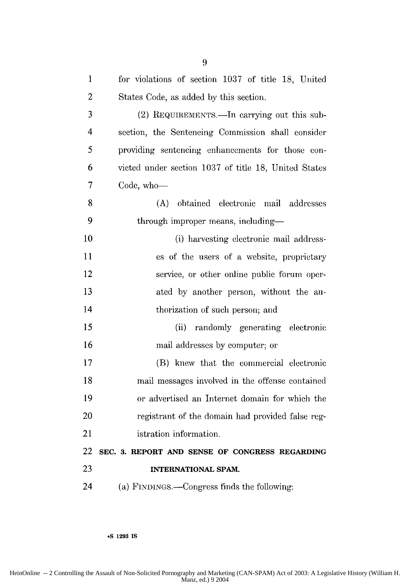| 1              | for violations of section 1037 of title 18, United   |
|----------------|------------------------------------------------------|
| $\overline{2}$ | States Code, as added by this section.               |
| 3              | (2) REQUIREMENTS.—In carrying out this sub-          |
| 4              | section, the Sentencing Commission shall consider    |
| 5              | providing sentencing enhancements for those con-     |
| 6              | victed under section 1037 of title 18, United States |
| 7              | Code, who-                                           |
| 8              | obtained electronic mail<br>(A)<br>addresses         |
| 9              | through improper means, including—                   |
| 10             | (i) harvesting electronic mail address-              |
| 11             | es of the users of a website, proprietary            |
| 12             | service, or other online public forum oper-          |
| 13             | ated by another person, without the au-              |
| 14             | thorization of such person; and                      |
| 15             | randomly generating electronic<br>(ii)               |
| 16             | mail addresses by computer; or                       |
| 17             | (B) knew that the commercial electronic              |
| 18             | mail messages involved in the offense contained      |
| 19             | or advertised an Internet domain for which the       |
| 20             | registrant of the domain had provided false reg-     |
| 21             | istration information.                               |
| 22             | SEC. 3. REPORT AND SENSE OF CONGRESS REGARDING       |
| 23             | INTERNATIONAL SPAM.                                  |
| 24             | (a) FINDINGS.—Congress finds the following:          |

**\*S 1293 IS**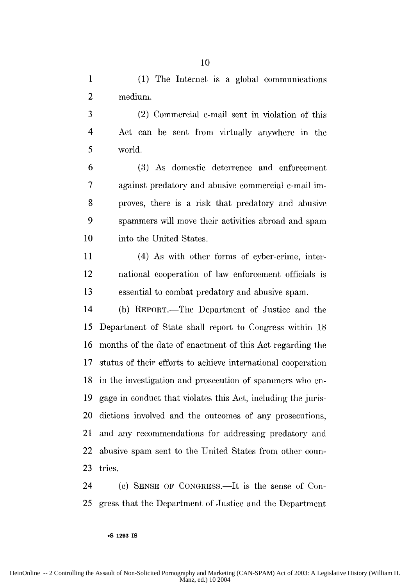1 (1) The Internet is a global communications 2 medium.

3 (2) Commercial e-mail sent in violation of this 4 Act can be sent from virtually anywhere in the 5 world.

6 (3) As domestic deterrence and enforcement 7 against predatory and abusive commercial e-mail im-8 proves, there is a risk that predatory and abusive 9 spammers will move their activities abroad and spam 10 into the United States.

11 (4) As with other forms of eyber-crime, inter-12 national cooperation of law enforcement officials is 13 essential to combat predatory and abusive spam.

14 (b) REPORT.-The Department of Justice and the 15 Department of State shall report to Congress within 18 16 months of the date of enactment of this Act regarding the 17 status of their efforts to achieve international cooperation 18 in the investigation and prosecution of spammers who en-19 gage in conduct that violates this Act, including the juris-20 dictions involved and the outcomes of any prosecutions, 21 and any recommendations for addressing predatory and 22 abusive spam sent to the United States from other coun-23 tries.

24 (c) SENSE OF CONGRESS.—It is the sense of Con-25 gress that the Department of Justice and the Department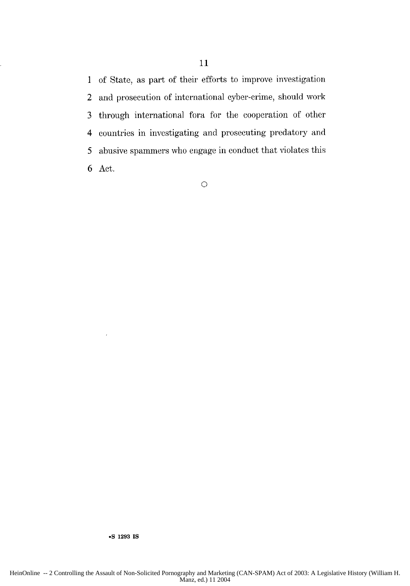1 of State, as part of their efforts to improve investigation 2 and prosecution of international cyber-crime, should work 3 through international fora for the cooperation of other 4 countries in investigating and prosecuting predatory and 5 abusive spammers who engage in conduct that violates this 6 Act.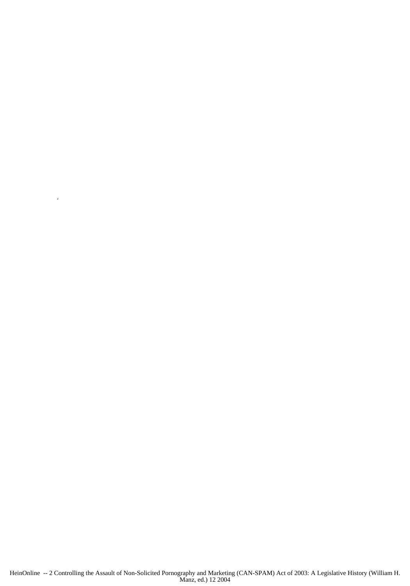HeinOnline -- 2 Controlling the Assault of Non-Solicited Pornography and Marketing (CAN-SPAM) Act of 2003: A Legislative History (William H. Manz, ed.) 12 2004

 $\mathcal{L}^{\pm}$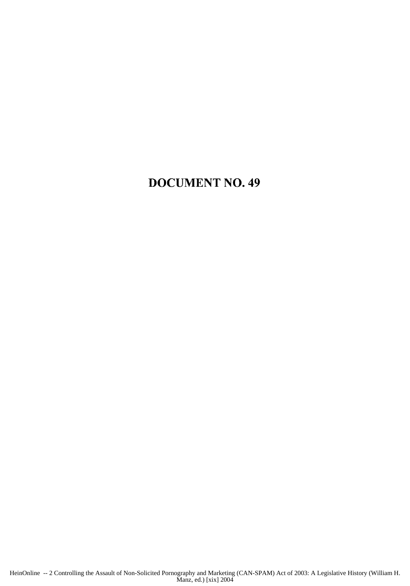### DOCUMENT NO. 49